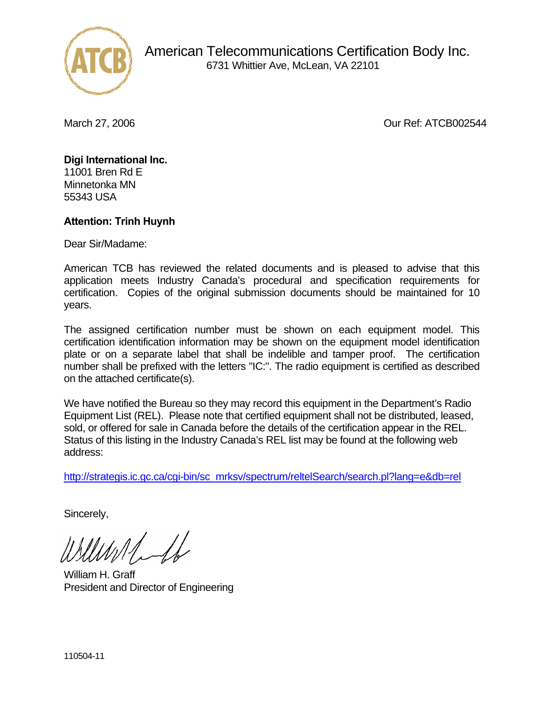

March 27, 2006 **Our Ref: ATCB002544** 

## **Digi International Inc.**

11001 Bren Rd E Minnetonka MN 55343 USA

## **Attention: Trinh Huynh**

Dear Sir/Madame:

American TCB has reviewed the related documents and is pleased to advise that this application meets Industry Canada's procedural and specification requirements for certification. Copies of the original submission documents should be maintained for 10 years.

The assigned certification number must be shown on each equipment model. This certification identification information may be shown on the equipment model identification plate or on a separate label that shall be indelible and tamper proof. The certification number shall be prefixed with the letters "IC:". The radio equipment is certified as described on the attached certificate(s).

We have notified the Bureau so they may record this equipment in the Department's Radio Equipment List (REL). Please note that certified equipment shall not be distributed, leased, sold, or offered for sale in Canada before the details of the certification appear in the REL. Status of this listing in the Industry Canada's REL list may be found at the following web address:

http://strategis.ic.gc.ca/cgi-bin/sc\_mrksv/spectrum/reltelSearch/search.pl?lang=e&db=rel

Sincerely,

William H. Graff President and Director of Engineering